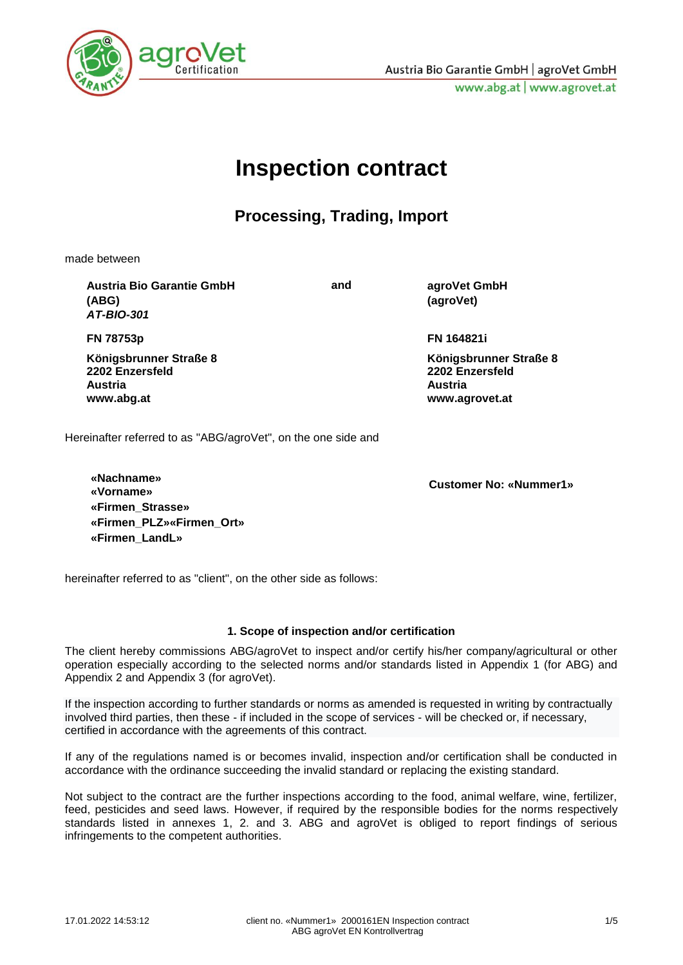

# **Inspection contract**

### **Processing, Trading, Import**

made between

**Austria Bio Garantie GmbH (ABG)** *AT-BIO-301*

**and agroVet GmbH (agroVet)**

**FN 78753p**

**Königsbrunner Straße 8 2202 Enzersfeld Austria [www.abg.at](http://www.abg.at/)**

**FN 164821i**

**Königsbrunner Straße 8 2202 Enzersfeld Austria www.agrovet.at**

Hereinafter referred to as "ABG/agroVet", on the one side and

**«Nachname» «Vorname» Customer No: «Nummer1» «Firmen\_Strasse» «Firmen\_PLZ»«Firmen\_Ort» «Firmen\_LandL»**

hereinafter referred to as "client", on the other side as follows:

### **1. Scope of inspection and/or certification**

The client hereby commissions ABG/agroVet to inspect and/or certify his/her company/agricultural or other operation especially according to the selected norms and/or standards listed in Appendix 1 (for ABG) and Appendix 2 and Appendix 3 (for agroVet).

If the inspection according to further standards or norms as amended is requested in writing by contractually involved third parties, then these - if included in the scope of services - will be checked or, if necessary, certified in accordance with the agreements of this contract.

If any of the regulations named is or becomes invalid, inspection and/or certification shall be conducted in accordance with the ordinance succeeding the invalid standard or replacing the existing standard.

Not subject to the contract are the further inspections according to the food, animal welfare, wine, fertilizer, feed, pesticides and seed laws. However, if required by the responsible bodies for the norms respectively standards listed in annexes 1, 2. and 3. ABG and agroVet is obliged to report findings of serious infringements to the competent authorities.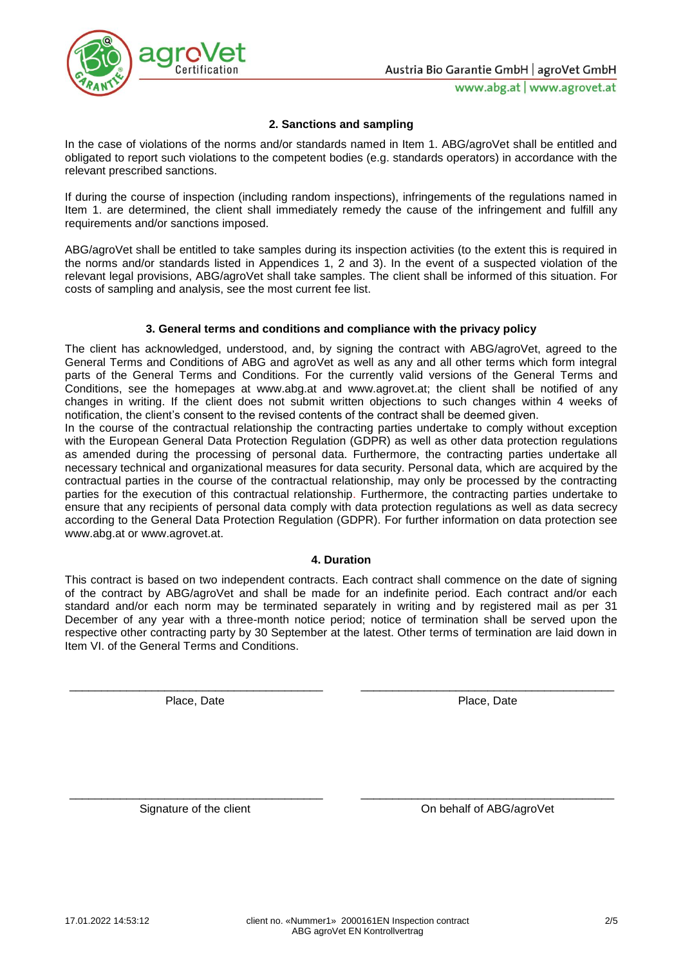

### **2. Sanctions and sampling**

In the case of violations of the norms and/or standards named in Item 1. ABG/agroVet shall be entitled and obligated to report such violations to the competent bodies (e.g. standards operators) in accordance with the relevant prescribed sanctions.

If during the course of inspection (including random inspections), infringements of the regulations named in Item 1. are determined, the client shall immediately remedy the cause of the infringement and fulfill any requirements and/or sanctions imposed.

ABG/agroVet shall be entitled to take samples during its inspection activities (to the extent this is required in the norms and/or standards listed in Appendices 1, 2 and 3). In the event of a suspected violation of the relevant legal provisions, ABG/agroVet shall take samples. The client shall be informed of this situation. For costs of sampling and analysis, see the most current fee list.

### **3. General terms and conditions and compliance with the privacy policy**

The client has acknowledged, understood, and, by signing the contract with ABG/agroVet, agreed to the General Terms and Conditions of ABG and agroVet as well as any and all other terms which form integral parts of the General Terms and Conditions. For the currently valid versions of the General Terms and Conditions, see the homepages at www.abg.at and www.agrovet.at; the client shall be notified of any changes in writing. If the client does not submit written objections to such changes within 4 weeks of notification, the client's consent to the revised contents of the contract shall be deemed given.

In the course of the contractual relationship the contracting parties undertake to comply without exception with the European General Data Protection Regulation (GDPR) as well as other data protection regulations as amended during the processing of personal data. Furthermore, the contracting parties undertake all necessary technical and organizational measures for data security. Personal data, which are acquired by the contractual parties in the course of the contractual relationship, may only be processed by the contracting parties for the execution of this contractual relationship. Furthermore, the contracting parties undertake to ensure that any recipients of personal data comply with data protection regulations as well as data secrecy according to the General Data Protection Regulation (GDPR). For further information on data protection see www.abg.at or www.agrovet.at.

#### **4. Duration**

This contract is based on two independent contracts. Each contract shall commence on the date of signing of the contract by ABG/agroVet and shall be made for an indefinite period. Each contract and/or each standard and/or each norm may be terminated separately in writing and by registered mail as per 31 December of any year with a three-month notice period; notice of termination shall be served upon the respective other contracting party by 30 September at the latest. Other terms of termination are laid down in Item VI. of the General Terms and Conditions.

\_\_\_\_\_\_\_\_\_\_\_\_\_\_\_\_\_\_\_\_\_\_\_\_\_\_\_\_\_\_\_\_\_\_\_\_\_\_\_\_ \_\_\_\_\_\_\_\_\_\_\_\_\_\_\_\_\_\_\_\_\_\_\_\_\_\_\_\_\_\_\_\_\_\_\_\_\_\_\_\_

\_\_\_\_\_\_\_\_\_\_\_\_\_\_\_\_\_\_\_\_\_\_\_\_\_\_\_\_\_\_\_\_\_\_\_\_\_\_\_\_ \_\_\_\_\_\_\_\_\_\_\_\_\_\_\_\_\_\_\_\_\_\_\_\_\_\_\_\_\_\_\_\_\_\_\_\_\_\_\_\_

Place, Date **Place**, Date Place, Date

Signature of the client Contract Conservation Conservation Conservation Conservation Conservation Conservation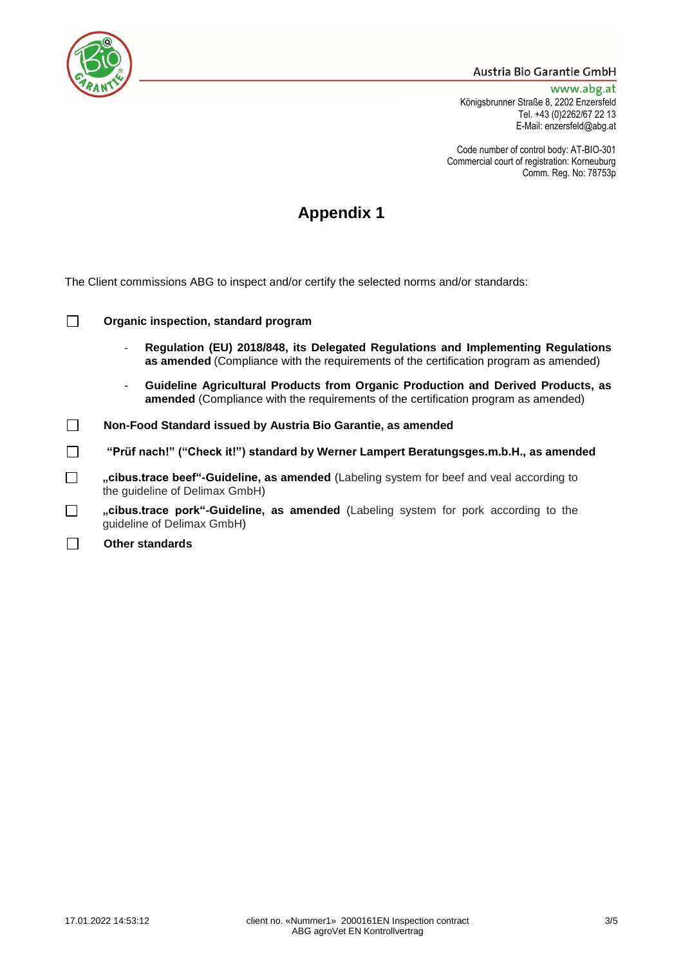

### Austria Bio Garantie GmbH

www.abg.at Königsbrunner Straße 8, 2202 Enzersfeld Tel. +43 (0)2262/67 22 13 E-Mail: enzersfeld@abg.at

Code number of control body: AT-BIO-301 Commercial court of registration: Korneuburg Comm. Reg. No: 78753p

## **Appendix 1**

The Client commissions ABG to inspect and/or certify the selected norms and/or standards:

| $\Box$ | Organic inspection, standard program |  |  |
|--------|--------------------------------------|--|--|
|--------|--------------------------------------|--|--|

- **Regulation (EU) 2018/848, its Delegated Regulations and Implementing Regulations as amended** (Compliance with the requirements of the certification program as amended)
- **Guideline Agricultural Products from Organic Production and Derived Products, as amended** (Compliance with the requirements of the certification program as amended)
- $\Box$ **Non-Food Standard issued by Austria Bio Garantie, as amended**
- $\Box$ **"Prüf nach!" ("Check it!") standard by Werner Lampert Beratungsges.m.b.H., as amended**
- $\Box$ **"cibus.trace beef"-Guideline, as amended** (Labeling system for beef and veal according to the guideline of Delimax GmbH)
- **"cibus.trace pork"-Guideline, as amended** (Labeling system for pork according to the  $\Box$ guideline of Delimax GmbH)
- П **Other standards**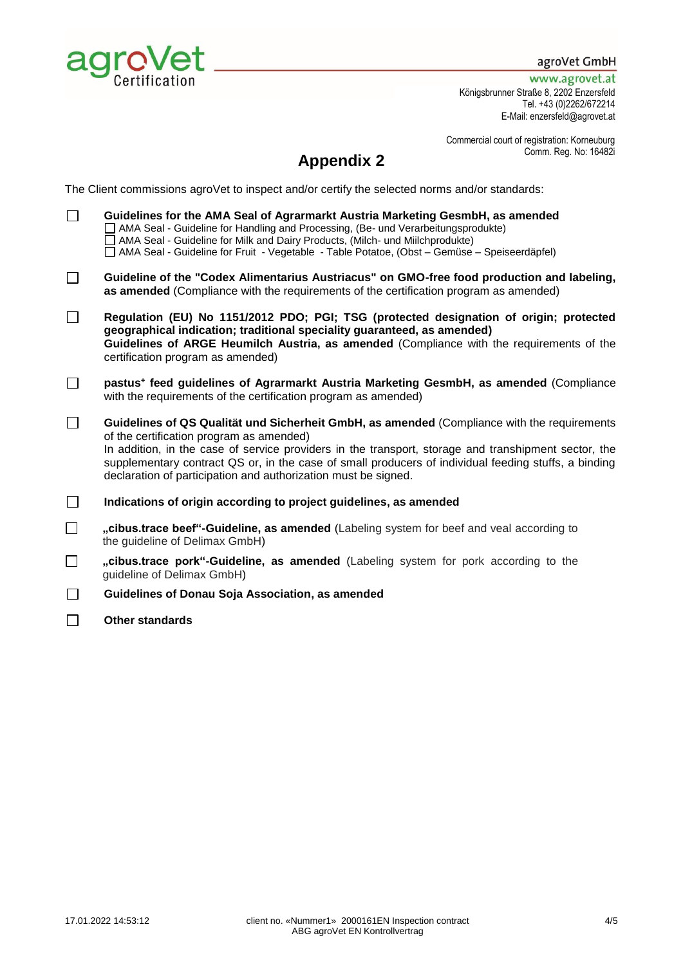

agroVet GmbH

www.agrovet.at Königsbrunner Straße 8, 2202 Enzersfeld Tel. +43 (0)2262/672214 E-Mail: enzersfeld@agrovet.at

Commercial court of registration: Korneuburg Comm. Reg. No: 16482i

## **Appendix 2**

The Client commissions agroVet to inspect and/or certify the selected norms and/or standards:

| П      | Guidelines for the AMA Seal of Agrarmarkt Austria Marketing GesmbH, as amended<br>AMA Seal - Guideline for Handling and Processing, (Be- und Verarbeitungsprodukte)<br>AMA Seal - Guideline for Milk and Dairy Products, (Milch- und Miilchprodukte)<br>AMA Seal - Guideline for Fruit - Vegetable - Table Potatoe, (Obst - Gemüse - Speiseerdäpfel)                                                                      |
|--------|---------------------------------------------------------------------------------------------------------------------------------------------------------------------------------------------------------------------------------------------------------------------------------------------------------------------------------------------------------------------------------------------------------------------------|
| $\Box$ | Guideline of the "Codex Alimentarius Austriacus" on GMO-free food production and labeling,<br>as amended (Compliance with the requirements of the certification program as amended)                                                                                                                                                                                                                                       |
| $\Box$ | Regulation (EU) No 1151/2012 PDO; PGI; TSG (protected designation of origin; protected<br>geographical indication; traditional speciality guaranteed, as amended)<br>Guidelines of ARGE Heumilch Austria, as amended (Compliance with the requirements of the<br>certification program as amended)                                                                                                                        |
| $\Box$ | pastus <sup>+</sup> feed guidelines of Agrarmarkt Austria Marketing GesmbH, as amended (Compliance<br>with the requirements of the certification program as amended)                                                                                                                                                                                                                                                      |
| $\Box$ | Guidelines of QS Qualität und Sicherheit GmbH, as amended (Compliance with the requirements<br>of the certification program as amended)<br>In addition, in the case of service providers in the transport, storage and transhipment sector, the<br>supplementary contract QS or, in the case of small producers of individual feeding stuffs, a binding<br>declaration of participation and authorization must be signed. |
| $\Box$ | Indications of origin according to project guidelines, as amended                                                                                                                                                                                                                                                                                                                                                         |
| $\Box$ | "cibus.trace beef"-Guideline, as amended (Labeling system for beef and veal according to<br>the guideline of Delimax GmbH)                                                                                                                                                                                                                                                                                                |
| $\Box$ | "cibus.trace pork"-Guideline, as amended (Labeling system for pork according to the<br>guideline of Delimax GmbH)                                                                                                                                                                                                                                                                                                         |
| $\Box$ | Guidelines of Donau Soja Association, as amended                                                                                                                                                                                                                                                                                                                                                                          |
|        | <b>Other standards</b>                                                                                                                                                                                                                                                                                                                                                                                                    |